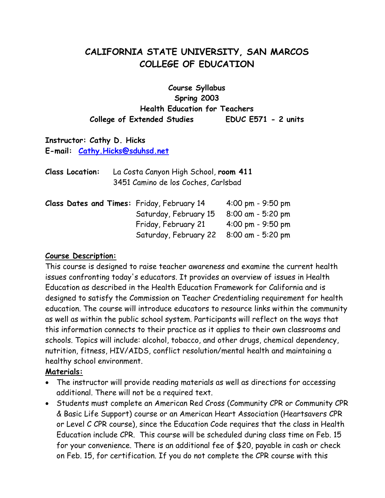# **CALIFORNIA STATE UNIVERSITY, SAN MARCOS COLLEGE OF EDUCATION**

**Course Syllabus Spring 2003 Health Education for Teachers College of Extended Studies EDUC E571 - 2 units**

## **Instructor: Cathy D. Hicks E-mail: [Cathy.Hicks@sduhsd.net](mailto:Cathy.Hicks@sduhsd.net)**

| <b>Class Location:</b> | La Costa Canyon High School, room 411 |
|------------------------|---------------------------------------|
|                        | 3451 Camino de los Coches, Carlsbad   |

|  |  | Class Dates and Times: Friday, February 14              | $4:00 \text{ pm} - 9:50 \text{ pm}$ |
|--|--|---------------------------------------------------------|-------------------------------------|
|  |  | Saturday, February 15                                   | 8:00 am - 5:20 pm                   |
|  |  | Friday, February 21 $4:00 \text{ pm} - 9:50 \text{ pm}$ |                                     |
|  |  | Saturday, February 22 8:00 am - 5:20 pm                 |                                     |

#### **Course Description:**

This course is designed to raise teacher awareness and examine the current health issues confronting today's educators. It provides an overview of issues in Health Education as described in the Health Education Framework for California and is designed to satisfy the Commission on Teacher Credentialing requirement for health education. The course will introduce educators to resource links within the community as well as within the public school system. Participants will reflect on the ways that this information connects to their practice as it applies to their own classrooms and schools. Topics will include: alcohol, tobacco, and other drugs, chemical dependency, nutrition, fitness, HIV/AIDS, conflict resolution/mental health and maintaining a healthy school environment.

## **Materials:**

- The instructor will provide reading materials as well as directions for accessing additional. There will not be a required text.
- Students must complete an American Red Cross (Community CPR or Community CPR & Basic Life Support) course or an American Heart Association (Heartsavers CPR or Level C CPR course), since the Education Code requires that the class in Health Education include CPR. This course will be scheduled during class time on Feb. 15 for your convenience. There is an additional fee of \$20, payable in cash or check on Feb. 15, for certification. If you do not complete the CPR course with this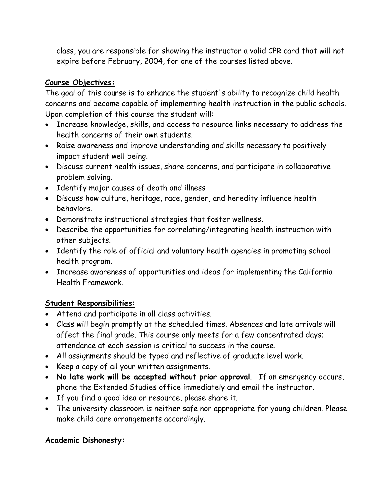class, you are responsible for showing the instructor a valid CPR card that will not expire before February, 2004, for one of the courses listed above.

## **Course Objectives:**

The goal of this course is to enhance the student's ability to recognize child health concerns and become capable of implementing health instruction in the public schools. Upon completion of this course the student will:

- Increase knowledge, skills, and access to resource links necessary to address the health concerns of their own students.
- Raise awareness and improve understanding and skills necessary to positively impact student well being.
- Discuss current health issues, share concerns, and participate in collaborative problem solving.
- Identify major causes of death and illness
- Discuss how culture, heritage, race, gender, and heredity influence health behaviors.
- Demonstrate instructional strategies that foster wellness.
- Describe the opportunities for correlating/integrating health instruction with other subjects.
- Identify the role of official and voluntary health agencies in promoting school health program.
- Increase awareness of opportunities and ideas for implementing the California Health Framework.

## **Student Responsibilities:**

- Attend and participate in all class activities.
- Class will begin promptly at the scheduled times. Absences and late arrivals will affect the final grade. This course only meets for a few concentrated days; attendance at each session is critical to success in the course.
- All assignments should be typed and reflective of graduate level work.
- Keep a copy of all your written assignments.
- **No late work will be accepted without prior approval**. If an emergency occurs, phone the Extended Studies office immediately and email the instructor.
- If you find a good idea or resource, please share it.
- The university classroom is neither safe nor appropriate for young children. Please make child care arrangements accordingly.

# **Academic Dishonesty:**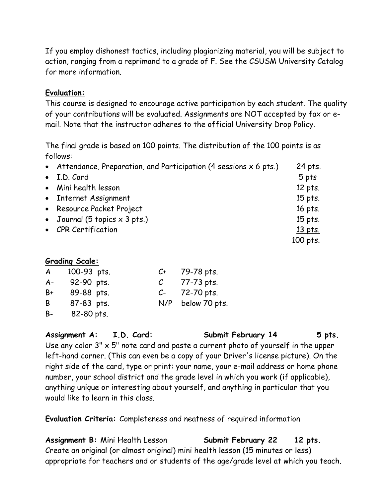If you employ dishonest tactics, including plagiarizing material, you will be subject to action, ranging from a reprimand to a grade of F. See the CSUSM University Catalog for more information.

#### **Evaluation:**

This course is designed to encourage active participation by each student. The quality of your contributions will be evaluated. Assignments are NOT accepted by fax or email. Note that the instructor adheres to the official University Drop Policy.

The final grade is based on 100 points. The distribution of the 100 points is as follows:

| • Attendance, Preparation, and Participation (4 sessions $x$ 6 pts.) | 24 pts.   |
|----------------------------------------------------------------------|-----------|
| • I.D. Card                                                          | 5 pts     |
| • Mini health lesson                                                 | 12 pts.   |
| • Internet Assignment                                                | $15$ pts. |
| • Resource Packet Project                                            | 16 pts.   |
| • Journal (5 topics $\times$ 3 pts.)                                 | 15 pts.   |
| • CPR Certification                                                  | 13 pts.   |
|                                                                      | 100 pts.  |
|                                                                      |           |

## **Grading Scale:**

| A     | 100-93 pts. | C+            | 79-78 pts.    |
|-------|-------------|---------------|---------------|
| $A -$ | 92-90 pts.  | $\mathcal{C}$ | 77-73 pts.    |
| B+    | 89-88 pts.  | $C-$          | 72-70 pts.    |
| B     | 87-83 pts.  | N/P           | below 70 pts. |
| B-    | 82-80 pts.  |               |               |

**Assignment A: I.D. Card: Submit February 14 5 pts.**

Use any color  $3'' \times 5''$  note card and paste a current photo of yourself in the upper left-hand corner. (This can even be a copy of your Driver's license picture). On the right side of the card, type or print: your name, your e-mail address or home phone number, your school district and the grade level in which you work (if applicable), anything unique or interesting about yourself, and anything in particular that you would like to learn in this class.

**Evaluation Criteria:** Completeness and neatness of required information

**Assignment B:** Mini Health Lesson **Submit February 22 12 pts.** Create an original (or almost original) mini health lesson (15 minutes or less) appropriate for teachers and or students of the age/grade level at which you teach.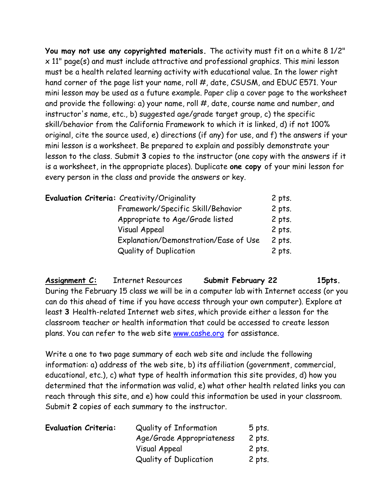**You may not use any copyrighted materials.** The activity must fit on a white 8 1/2" x 11" page(s) and must include attractive and professional graphics. This mini lesson must be a health related learning activity with educational value. In the lower right hand corner of the page list your name, roll #, date, CSUSM, and EDUC E571. Your mini lesson may be used as a future example. Paper clip a cover page to the worksheet and provide the following: a) your name, roll #, date, course name and number, and instructor's name, etc., b) suggested age/grade target group, c) the specific skill/behavior from the California Framework to which it is linked, d) if not 100% original, cite the source used, e) directions (if any) for use, and f) the answers if your mini lesson is a worksheet. Be prepared to explain and possibly demonstrate your lesson to the class. Submit **3** copies to the instructor (one copy with the answers if it is a worksheet, in the appropriate places). Duplicate **one copy** of your mini lesson for every person in the class and provide the answers or key.

|  | Evaluation Criteria: Creativity/Originality | 2 pts.   |
|--|---------------------------------------------|----------|
|  | Framework/Specific Skill/Behavior           | $2$ pts. |
|  | Appropriate to Age/Grade listed             | $2$ pts. |
|  | <b>Visual Appeal</b>                        | $2$ pts. |
|  | Explanation/Demonstration/Ease of Use       | 2 pts.   |
|  | <b>Quality of Duplication</b>               | $2$ pts. |

**Assignment C:** Internet Resources **Submit February 22 15pts.** During the February 15 class we will be in a computer lab with Internet access (or you can do this ahead of time if you have access through your own computer). Explore at least **3** Health-related Internet web sites, which provide either a lesson for the classroom teacher or health information that could be accessed to create lesson plans. You can refer to the web site [www.cashe.org](http://www.cashe.org/) for assistance.

Write a one to two page summary of each web site and include the following information: a) address of the web site, b) its affiliation (government, commercial, educational, etc.), c) what type of health information this site provides, d) how you determined that the information was valid, e) what other health related links you can reach through this site, and e) how could this information be used in your classroom. Submit **2** copies of each summary to the instructor.

| <b>Evaluation Criteria:</b> | <b>Quality of Information</b> | $5$ pts. |
|-----------------------------|-------------------------------|----------|
|                             | Age/Grade Appropriateness     | 2 pts.   |
|                             | <b>Visual Appeal</b>          | 2 pts.   |
|                             | <b>Quality of Duplication</b> | 2 pts.   |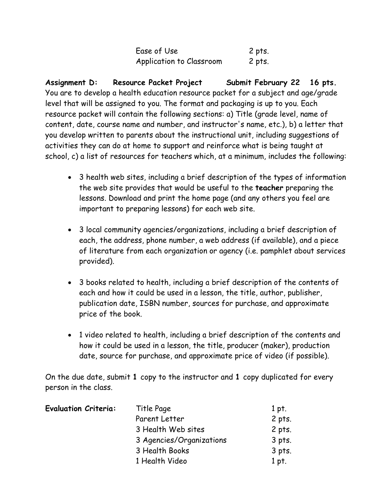| Ease of Use              | 2 pts. |
|--------------------------|--------|
| Application to Classroom | 2 pts. |

**Assignment D: Resource Packet Project Submit February 22 16 pts.** You are to develop a health education resource packet for a subject and age/grade level that will be assigned to you. The format and packaging is up to you. Each resource packet will contain the following sections: a) Title (grade level, name of content, date, course name and number, and instructor's name, etc.), b) a letter that you develop written to parents about the instructional unit, including suggestions of activities they can do at home to support and reinforce what is being taught at school, c) a list of resources for teachers which, at a minimum, includes the following:

- 3 health web sites, including a brief description of the types of information the web site provides that would be useful to the **teacher** preparing the lessons. Download and print the home page (and any others you feel are important to preparing lessons) for each web site.
- 3 local community agencies/organizations, including a brief description of each, the address, phone number, a web address (if available), and a piece of literature from each organization or agency (i.e. pamphlet about services provided).
- 3 books related to health, including a brief description of the contents of each and how it could be used in a lesson, the title, author, publisher, publication date, ISBN number, sources for purchase, and approximate price of the book.
- 1 video related to health, including a brief description of the contents and how it could be used in a lesson, the title, producer (maker), production date, source for purchase, and approximate price of video (if possible).

On the due date, submit **1** copy to the instructor and **1** copy duplicated for every person in the class.

| <b>Evaluation Criteria:</b> | Title Page               | 1 pt.  |
|-----------------------------|--------------------------|--------|
|                             | Parent Letter            | 2 pts. |
|                             | 3 Health Web sites       | 2 pts. |
|                             | 3 Agencies/Organizations | 3 pts. |
|                             | 3 Health Books           | 3 pts. |
|                             | 1 Health Video           | 1 pt.  |